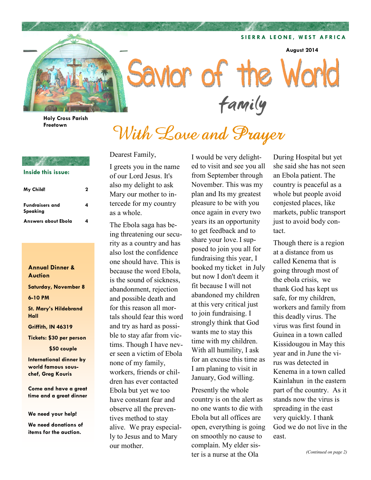#### **SIERRA LEONE, WEST AFRICA**

**August 2014** 



Savior of the World family

With Love and Prayer

**Holy Cross Parish Freetown** 

#### **Inside this issue:**

| My Child!                          | 2 |
|------------------------------------|---|
| <b>Fundraisers and</b><br>Speaking | 4 |
| <b>Answers about Ebola</b>         |   |

**Annual Dinner & Auction Saturday, November 8 6-10 PM St. Mary's Hildebrand Hall Griffith, IN 46319 Tickets: \$30 per person \$50 couple International dinner by world famous souschef, Greg Kouris Come and have a great time and a great dinner** 

#### **We need your help!**

**We need donations of items for the auction.** 

Dearest Family,

I greets you in the name of our Lord Jesus. It's also my delight to ask Mary our mother to intercede for my country as a whole.

The Ebola saga has being threatening our security as a country and has also lost the confidence one should have. This is because the word Ebola, is the sound of sickness, abandonment, rejection and possible death and for this reason all mortals should fear this word and try as hard as possible to stay afar from victims. Though I have never seen a victim of Ebola none of my family, workers, friends or children has ever contacted Ebola but yet we too have constant fear and observe all the preventives method to stay alive. We pray especially to Jesus and to Mary our mother.

I would be very delighted to visit and see you all from September through November. This was my plan and Its my greatest pleasure to be with you once again in every two years its an opportunity to get feedback and to share your love. I supposed to join you all for fundraising this year, I booked my ticket in July but now I don't deem it fit because I will not abandoned my children at this very critical just to join fundraising. I strongly think that God wants me to stay this time with my children. With all humility, I ask for an excuse this time as I am planing to visit in January, God willing.

Presently the whole country is on the alert as no one wants to die with Ebola but all offices are open, everything is going on smoothly no cause to complain. My elder sister is a nurse at the Ola

During Hospital but yet she said she has not seen an Ebola patient. The country is peaceful as a whole but people avoid conjested places, like markets, public transport just to avoid body contact.

Though there is a region at a distance from us called Kenema that is going through most of the ebola crisis, we thank God has kept us safe, for my children, workers and family from this deadly virus. The virus was first found in Guinea in a town called Kissidougou in May this year and in June the virus was detected in Kenema in a town called Kainlahun in the eastern part of the country. As it stands now the virus is spreading in the east very quickly. I thank God we do not live in the east.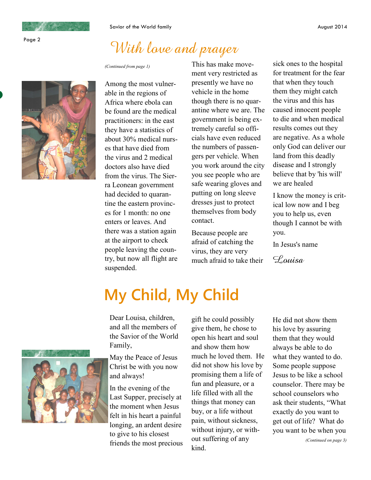# With love and prayer



Among the most vulnerable in the regions of Africa where ebola can be found are the medical practitioners: in the east they have a statistics of about 30% medical nurses that have died from the virus and 2 medical doctors also have died from the virus. The Sierra Leonean government had decided to quarantine the eastern provinces for 1 month: no one enters or leaves. And there was a station again at the airport to check people leaving the country, but now all flight are suspended.

*(Continued from page 1)* This has make movement very restricted as presently we have no vehicle in the home though there is no quarantine where we are. The government is being extremely careful so officials have even reduced the numbers of passengers per vehicle. When you work around the city you see people who are safe wearing gloves and putting on long sleeve dresses just to protect themselves from body contact.

> Because people are afraid of catching the virus, they are very much afraid to take their

sick ones to the hospital for treatment for the fear that when they touch them they might catch the virus and this has caused innocent people to die and when medical results comes out they are negative. As a whole only God can deliver our land from this deadly disease and I strongly believe that by 'his will' we are healed

I know the money is critical low now and I beg you to help us, even though I cannot be with you.

In Jesus's name

 $\mathscr{L}$ quisa

# **My Child, My Child**

Dear Louisa, children, and all the members of the Savior of the World Family,

May the Peace of Jesus Christ be with you now and always!

In the evening of the Last Supper, precisely at the moment when Jesus felt in his heart a painful longing, an ardent desire to give to his closest friends the most precious gift he could possibly give them, he chose to open his heart and soul and show them how much he loved them. He did not show his love by promising them a life of fun and pleasure, or a life filled with all the things that money can buy, or a life without pain, without sickness, without injury, or without suffering of any kind.

He did not show them his love by assuring them that they would always be able to do what they wanted to do. Some people suppose Jesus to be like a school counselor. There may be school counselors who ask their students, "What exactly do you want to get out of life? What do you want to be when you



*(Continued on page 3)* 

Page 2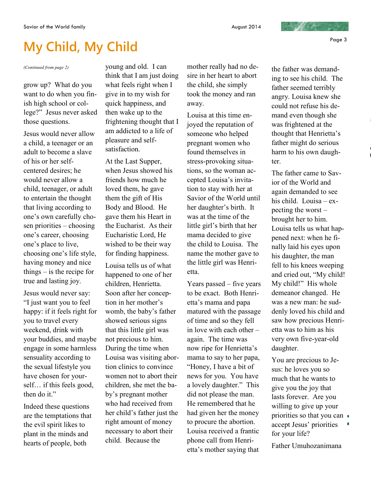#### Page 3

**Caption describing pic-**

**ture or graphic.**

# **My Child, My Child**

grow up? What do you want to do when you finish high school or college?" Jesus never asked those questions.

Jesus would never allow a child, a teenager or an adult to become a slave of his or her selfcentered desires; he would never allow a child, teenager, or adult to entertain the thought that living according to one's own carefully chosen priorities – choosing one's career, choosing one's place to live, choosing one's life style, having money and nice things – is the recipe for true and lasting joy.

Jesus would never say: "I just want you to feel happy: if it feels right for you to travel every weekend, drink with your buddies, and maybe engage in some harmless sensuality according to the sexual lifestyle you have chosen for yourself… if this feels good, then do it."

Indeed these questions are the temptations that the evil spirit likes to plant in the minds and hearts of people, both

*(Continued from page 2)* young and old. I can think that I am just doing what feels right when I give in to my wish for quick happiness, and then wake up to the frightening thought that I am addicted to a life of pleasure and selfsatisfaction.

> At the Last Supper, when Jesus showed his friends how much he loved them, he gave them the gift of His Body and Blood. He gave them his Heart in the Eucharist. As their Eucharistic Lord, He wished to be their way for finding happiness.

Louisa tells us of what happened to one of her children, Henrietta. Soon after her conception in her mother's womb, the baby's father showed serious signs that this little girl was not precious to him. During the time when Louisa was visiting abortion clinics to convince women not to abort their children, she met the baby's pregnant mother who had received from her child's father just the right amount of money necessary to abort their child. Because the

mother really had no desire in her heart to abort the child, she simply took the money and ran away.

Louisa at this time enjoyed the reputation of someone who helped pregnant women who found themselves in stress-provoking situations, so the woman accepted Louisa's invitation to stay with her at Savior of the World until her daughter's birth. It was at the time of the little girl's birth that her mama decided to give the child to Louisa. The name the mother gave to the little girl was Henrietta.

Years passed – five years to be exact. Both Henrietta's mama and papa matured with the passage of time and so they fell in love with each other – again. The time was now ripe for Henrietta's mama to say to her papa, "Honey, I have a bit of news for you. You have a lovely daughter." This did not please the man. He remembered that he had given her the money to procure the abortion. Louisa received a frantic phone call from Henrietta's mother saying that

the father was demanding to see his child. The father seemed terribly angry. Louisa knew she could not refuse his demand even though she was frightened at the thought that Henrietta's father might do serious harm to his own daughter.

The father came to Savior of the World and again demanded to see his child. Louisa – expecting the worst – brought her to him. Louisa tells us what happened next: when he finally laid his eyes upon his daughter, the man fell to his knees weeping and cried out, "My child! My child!" His whole demeanor changed. He was a new man: he suddenly loved his child and saw how precious Henrietta was to him as his very own five-year-old daughter.

 $\frac{1}{2}$  caption described point  $\frac{1}{2}$  **c** for your life? You are precious to Jesus: he loves you so much that he wants to give you the joy that lasts forever. Are you willing to give up your priorities so that you can accept Jesus' priorities

Father Umuhozanimana